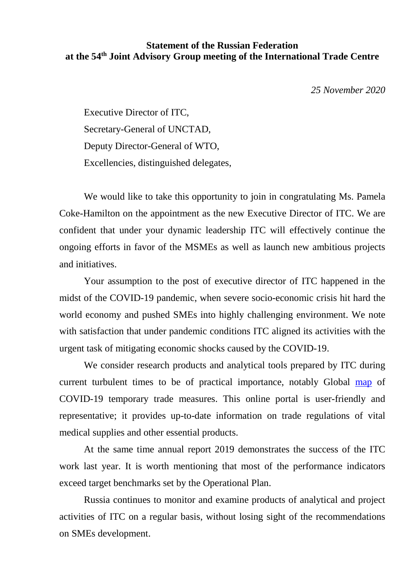## **Statement of the Russian Federation at the 54th Joint Advisory Group meeting of the International Trade Centre**

*25 November 2020*

Executive Director of ITC, Secretary-General of UNCTAD, Deputy Director-General of WTO, Excellencies, distinguished delegates,

We would like to take this opportunity to join in congratulating Ms. Pamela Coke-Hamilton on the appointment as the new Executive Director of ITC. We are confident that under your dynamic leadership ITC will effectively continue the ongoing efforts in favor of the MSMEs as well as launch new ambitious projects and initiatives.

Your assumption to the post of executive director of ITC happened in the midst of the COVID-19 pandemic, when severe socio-economic crisis hit hard the world economy and pushed SMEs into highly challenging environment. We note with satisfaction that under pandemic conditions ITC aligned its activities with the urgent task of mitigating economic shocks caused by the COVID-19.

We consider research products and analytical tools prepared by ITC during current turbulent times to be of practical importance, notably Global [map](https://www.macmap.org/covid19) of COVID-19 temporary trade measures. This online portal is user-friendly and representative; it provides up-to-date information on trade regulations of vital medical supplies and other essential products.

At the same time annual report 2019 demonstrates the success of the ITC work last year. It is worth mentioning that most of the performance indicators exceed target benchmarks set by the Operational Plan.

Russia continues to monitor and examine products of analytical and project activities of ITC on a regular basis, without losing sight of the recommendations on SMEs development.